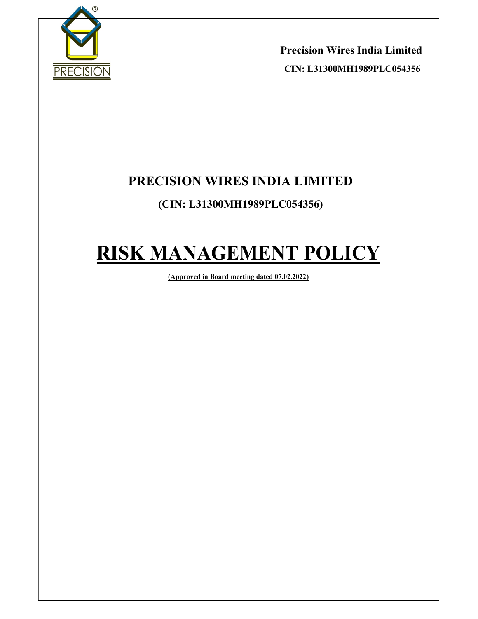

Precision Wires India Limited CIN: L31300MH1989PLC054356

 $\overline{a}$ 

# PRECISION WIRES INDIA LIMITED

## (CIN: L31300MH1989PLC054356)

# RISK MANAGEMENT POLICY

(Approved in Board meeting dated 07.02.2022)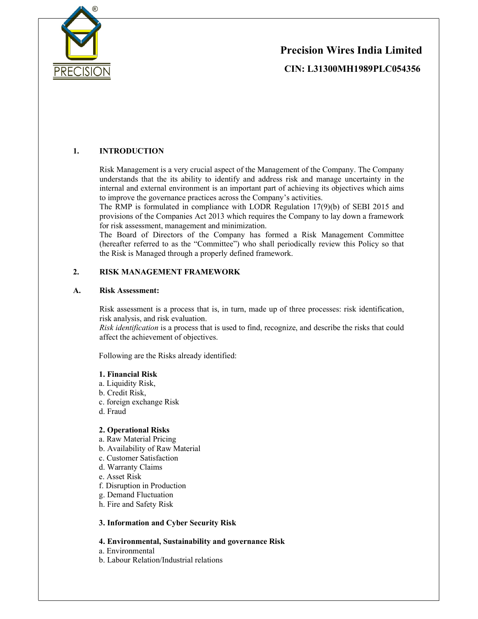

# Precision Wires India Limited CIN: L31300MH1989PLC054356

## 1. INTRODUCTION

Risk Management is a very crucial aspect of the Management of the Company. The Company understands that the its ability to identify and address risk and manage uncertainty in the internal and external environment is an important part of achieving its objectives which aims to improve the governance practices across the Company's activities.

 $\overline{a}$ 

The RMP is formulated in compliance with LODR Regulation 17(9)(b) of SEBI 2015 and provisions of the Companies Act 2013 which requires the Company to lay down a framework for risk assessment, management and minimization.

The Board of Directors of the Company has formed a Risk Management Committee (hereafter referred to as the "Committee") who shall periodically review this Policy so that the Risk is Managed through a properly defined framework.

#### 2. RISK MANAGEMENT FRAMEWORK

#### A. Risk Assessment:

Risk assessment is a process that is, in turn, made up of three processes: risk identification, risk analysis, and risk evaluation.

Risk identification is a process that is used to find, recognize, and describe the risks that could affect the achievement of objectives.

Following are the Risks already identified:

#### 1. Financial Risk

- a. Liquidity Risk,
- b. Credit Risk,
- c. foreign exchange Risk
- d. Fraud

#### 2. Operational Risks

- a. Raw Material Pricing
- b. Availability of Raw Material
- c. Customer Satisfaction
- d. Warranty Claims
- e. Asset Risk
- f. Disruption in Production
- g. Demand Fluctuation
- h. Fire and Safety Risk

#### 3. Information and Cyber Security Risk

#### 4. Environmental, Sustainability and governance Risk

- a. Environmental
- b. Labour Relation/Industrial relations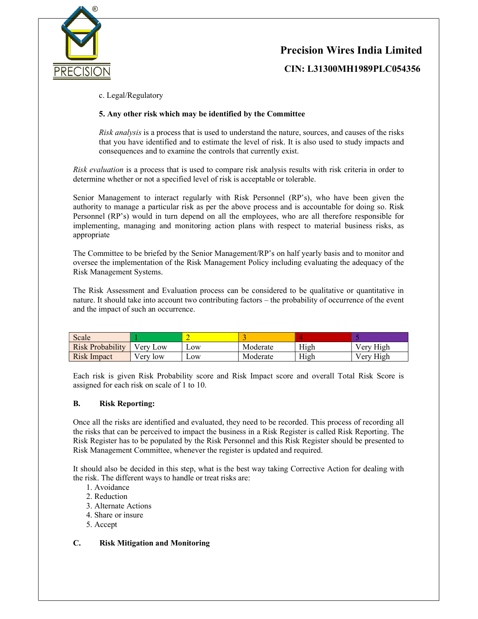



CIN: L31300MH1989PLC054356

c. Legal/Regulatory

#### 5. Any other risk which may be identified by the Committee

Risk analysis is a process that is used to understand the nature, sources, and causes of the risks that you have identified and to estimate the level of risk. It is also used to study impacts and consequences and to examine the controls that currently exist.

 $\overline{a}$ 

Risk evaluation is a process that is used to compare risk analysis results with risk criteria in order to determine whether or not a specified level of risk is acceptable or tolerable.

Senior Management to interact regularly with Risk Personnel (RP's), who have been given the authority to manage a particular risk as per the above process and is accountable for doing so. Risk Personnel (RP's) would in turn depend on all the employees, who are all therefore responsible for implementing, managing and monitoring action plans with respect to material business risks, as appropriate

The Committee to be briefed by the Senior Management/RP's on half yearly basis and to monitor and oversee the implementation of the Risk Management Policy including evaluating the adequacy of the Risk Management Systems.

The Risk Assessment and Evaluation process can be considered to be qualitative or quantitative in nature. It should take into account two contributing factors – the probability of occurrence of the event and the impact of such an occurrence.

| Scale              |              |               |          |      |           |
|--------------------|--------------|---------------|----------|------|-----------|
| Risk Probability   | Low<br>/ erv | $_{\rm{10W}}$ | Moderate | High | Very High |
| <b>Risk Impact</b> | low<br>√erv  | $\sim$ OW     | Moderate | High | Very High |

Each risk is given Risk Probability score and Risk Impact score and overall Total Risk Score is assigned for each risk on scale of 1 to 10.

#### B. Risk Reporting:

Once all the risks are identified and evaluated, they need to be recorded. This process of recording all the risks that can be perceived to impact the business in a Risk Register is called Risk Reporting. The Risk Register has to be populated by the Risk Personnel and this Risk Register should be presented to Risk Management Committee, whenever the register is updated and required.

It should also be decided in this step, what is the best way taking Corrective Action for dealing with the risk. The different ways to handle or treat risks are:

- 1. Avoidance
- 2. Reduction
- 3. Alternate Actions
- 4. Share or insure
- 5. Accept

#### C. Risk Mitigation and Monitoring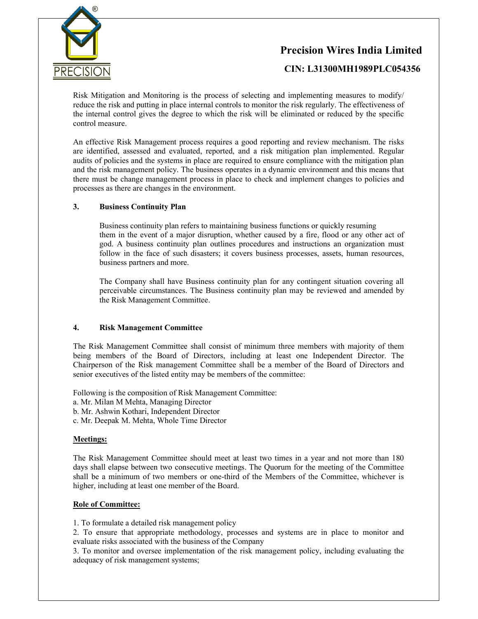

## Precision Wires India Limited

CIN: L31300MH1989PLC054356

Risk Mitigation and Monitoring is the process of selecting and implementing measures to modify/ reduce the risk and putting in place internal controls to monitor the risk regularly. The effectiveness of the internal control gives the degree to which the risk will be eliminated or reduced by the specific control measure.

 $\overline{a}$ 

An effective Risk Management process requires a good reporting and review mechanism. The risks are identified, assessed and evaluated, reported, and a risk mitigation plan implemented. Regular audits of policies and the systems in place are required to ensure compliance with the mitigation plan and the risk management policy. The business operates in a dynamic environment and this means that there must be change management process in place to check and implement changes to policies and processes as there are changes in the environment.

### 3. Business Continuity Plan

Business continuity plan refers to maintaining business functions or quickly resuming them in the event of a major disruption, whether caused by a fire, flood or any other act of god. A business continuity plan outlines procedures and instructions an organization must follow in the face of such disasters; it covers business processes, assets, human resources, business partners and more.

The Company shall have Business continuity plan for any contingent situation covering all perceivable circumstances. The Business continuity plan may be reviewed and amended by the Risk Management Committee.

#### 4. Risk Management Committee

The Risk Management Committee shall consist of minimum three members with majority of them being members of the Board of Directors, including at least one Independent Director. The Chairperson of the Risk management Committee shall be a member of the Board of Directors and senior executives of the listed entity may be members of the committee:

Following is the composition of Risk Management Committee:

- a. Mr. Milan M Mehta, Managing Director
- b. Mr. Ashwin Kothari, Independent Director
- c. Mr. Deepak M. Mehta, Whole Time Director

#### Meetings:

The Risk Management Committee should meet at least two times in a year and not more than 180 days shall elapse between two consecutive meetings. The Quorum for the meeting of the Committee shall be a minimum of two members or one-third of the Members of the Committee, whichever is higher, including at least one member of the Board.

#### Role of Committee:

1. To formulate a detailed risk management policy

2. To ensure that appropriate methodology, processes and systems are in place to monitor and evaluate risks associated with the business of the Company

3. To monitor and oversee implementation of the risk management policy, including evaluating the adequacy of risk management systems;